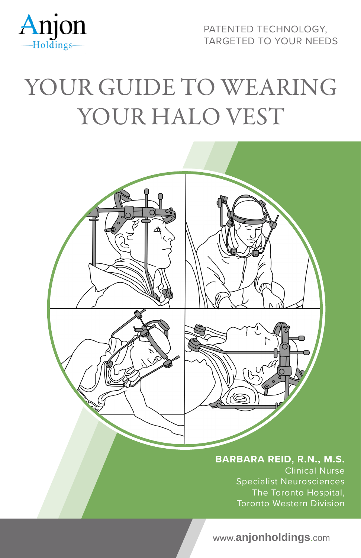

PATENTED TECHNOLOGY, TARGETED TO YOUR NEEDS

# YOUR GUIDE TO WEARING YOUR HALO VEST



**BARBARA REID, R.N., M.S.** Clinical Nurse Specialist Neurosciences The Toronto Hospital, Toronto Western Division

**www.anjonholdings.**com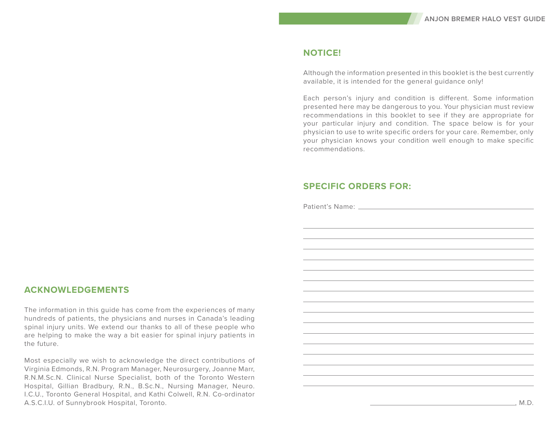#### **NOTICE!**

Although the information presented in this booklet is the best currently available, it is intended for the general guidance only!

Each person's injury and condition is different. Some information presented here may be dangerous to you. Your physician must review recommendations in this booklet to see if they are appropriate for your particular injury and condition. The space below is for your physician to use to write specific orders for your care. Remember, only your physician knows your condition well enough to make specific recommendations.

# **SPECIFIC ORDERS FOR:**

Patient's Name:

# **ACKNOWLEDGEMENTS**

The information in this guide has come from the experiences of many hundreds of patients, the physicians and nurses in Canada's leading spinal injury units. We extend our thanks to all of these people who are helping to make the way a bit easier for spinal injury patients in the future.

Most especially we wish to acknowledge the direct contributions of Virginia Edmonds, R.N. Program Manager, Neurosurgery, Joanne Marr, R.N.M.Sc.N. Clinical Nurse Specialist, both of the Toronto Western Hospital, Gillian Bradbury, R.N., B.Sc.N., Nursing Manager, Neuro. I.C.U., Toronto General Hospital, and Kathi Colwell, R.N. Co-ordinator A.S.C.I.U. of Sunnybrook Hospital, Toronto.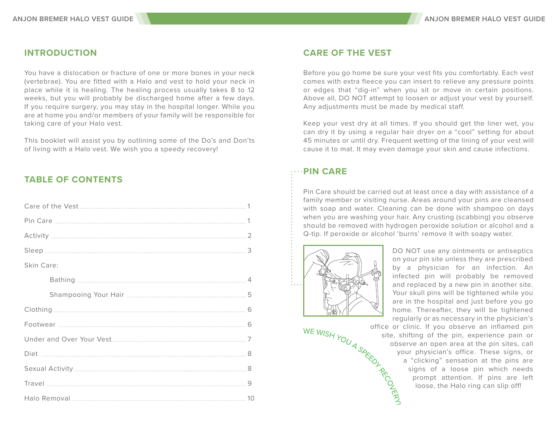# **INTRODUCTION**

You have a dislocation or fracture of one or more bones in your neck (vertebrae). You are fitted with a Halo and vest to hold your neck in place while it is healing. The healing process usually takes 8 to 12 weeks, but you will probably be discharged home after a few days. If you require surgery, you may stay in the hospital longer. While you are at home you and/or members of your family will be responsible for taking care of your Halo vest.

This booklet will assist you by outlining some of the Do's and Don'ts of living with a Halo vest. We wish you a speedy recovery!

# **TABLE OF CONTENTS**

| Skin Care: |
|------------|
|            |
|            |
|            |
|            |
|            |
|            |
|            |
|            |
|            |

## **CARE OF THE VEST**

Before you go home be sure your vest fits you comfortably. Each vest comes with extra fleece you can insert to relieve any pressure points or edges that "dig-in" when you sit or move in certain positions. Above all, DO NOT attempt to loosen or adjust your vest by yourself. Any adjustments must be made by medical staff.

Keep your vest dry at all times. If you should get the liner wet, you can dry it by using a regular hair dryer on a "cool" setting for about 45 minutes or until dry. Frequent wetting of the lining of your vest will cause it to mat. It may even damage your skin and cause infections.

# **PIN CARE**

Pin Care should be carried out at least once a day with assistance of a family member or visiting nurse. Areas around your pins are cleansed with soap and water. Cleaning can be done with shampoo on days when you are washing your hair. Any crusting (scabbing) you observe should be removed with hydrogen peroxide solution or alcohol and a Q-tip. If peroxide or alcohol 'burns' remove it with soapy water.



DO NOT use any ointments or antiseptics on your pin site unless they are prescribed by a physician for an infection. An infected pin will probably be removed and replaced by a new pin in another site. Your skull pins will be tightened while you home. Thereafter, they will be tightened regularly or as necessary in the physician's

are in the hospital and just before you go<br>home. Thereafter, they will be tightened<br>regularly or as necessary in the physician's<br>office or clinic. If you observe an inflamed pin<br>site, shifting of the pin, experience pain o office or clinic. If you observe an inflamed pin site, shifting of the pin, experience pain or observe an open area at the pin sites, call your physician's office. These signs, or a "clicking" sensation at the pins are signs of a loose pin which needs prompt attention. If pins are left loose, the Halo ring can slip off!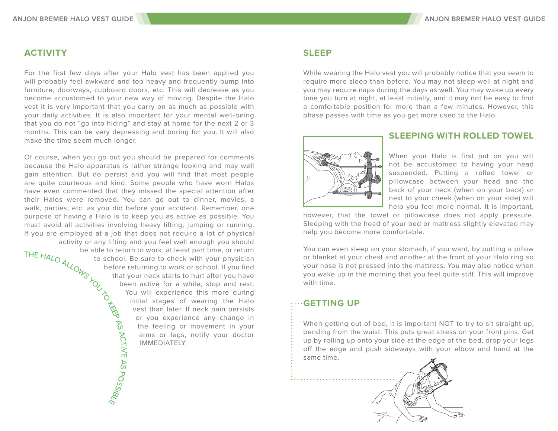## **ACTIVITY**

For the first few days after your Halo vest has been applied you will probably feel awkward and top heavy and frequently bump into furniture, doorways, cupboard doors, etc. This will decrease as you become accustomed to your new way of moving. Despite the Halo vest it is very important that you carry on as much as possible with your daily activities. It is also important for your mental well-being that you do not "go into hiding" and stay at home for the next 2 or 3 months. This can be very depressing and boring for you. It will also make the time seem much longer.

Of course, when you go out you should be prepared for comments because the Halo apparatus is rather strange looking and may well gain attention. But do persist and you will find that most people are quite courteous and kind. Some people who have worn Halos have even commented that they missed the special attention after their Halos were removed. You can go out to dinner, movies, a walk, parties, etc. as you did before your accident. Remember, one purpose of having a Halo is to keep you as active as possible. You must avoid all activities involving heavy lifting, jumping or running. If you are employed at a job that does not require a lot of physical<br>activity or any lifting and you feel well enough you should<br>be able to return to work, at least part time, or return<br>to school. Be sure to check with yo activity or any lifting and you feel well enough you should be able to return to work, at least part time, or return to school. Be sure to check with your physician before returning to work or school. If you find that your neck starts to hurt after you have been active for a while, stop and rest. You will experience this more during initial stages of wearing the Halo<br>vest than later. If neck pain persists<br>or you experience any change in<br>the feeling or movement in your<br>arms or legs, notify your doctor<br> $\frac{1}{2}$ <br> $\frac{1}{2}$ <br> $\frac{1}{2}$ <br> $\frac{1}{2}$ <br> $\frac{1}{2}$ <br> vest than later. If neck pain persists or you experience any change in the feeling or movement in your arms or legs, notify your doctor IMMEDIATELY.

#### **SLEEP**

While wearing the Halo vest you will probably notice that you seem to require more sleep than before. You may not sleep well at night and you may require naps during the days as well. You may wake up every time you turn at night, at least initially, and it may not be easy to find a comfortable position for more than a few minutes. However, this phase passes with time as you get more used to the Halo.



#### **SLEEPING WITH ROLLED TOWEL**

When your Halo is first put on you will not be accustomed to having your head suspended. Putting a rolled towel or pillowcase between your head and the back of your neck (when on your back) or next to your cheek (when on your side) will help you feel more normal. It is important,

however, that the towel or pillowcase does not apply pressure. Sleeping with the head of your bed or mattress slightly elevated may help you become more comfortable.

You can even sleep on your stomach, if you want, by putting a pillow or blanket at your chest and another at the front of your Halo ring so your nose is not pressed into the mattress. You may also notice when you wake up in the morning that you feel quite stiff. This will improve with time.

#### **GETTING UP**

When getting out of bed, it is important NOT to try to sit straight up, bending from the waist. This puts great stress on your front pins. Get up by rolling up onto your side at the edge of the bed, drop your legs off the edge and push sideways with your elbow and hand at the same time.

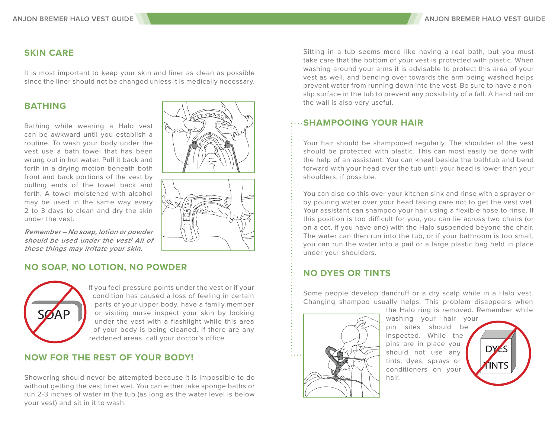# **SKIN CARE**

It is most important to keep your skin and liner as clean as possible since the liner should not be changed unless it is medically necessary.

Bathing while wearing a Halo vest can be awkward until you establish a routine. To wash your body under the vest use a bath towel that has been wrung out in hot water. Pull it back and forth in a drying motion beneath both front and back portions of the vest by pulling ends of the towel back and forth. A towel moistened with alcohol may be used in the same way every 2 to 3 days to clean and dry the skin under the vest.



**Remember – No soap, lotion or powder should be used under the vest! All of these things may irritate your skin.**

# **NO SOAP, NO LOTION, NO POWDER**



If you feel pressure points under the vest or if your condition has caused a loss of feeling in certain parts of your upper body, have a family member or visiting nurse inspect your skin by looking under the vest with a flashlight while this area of your body is being cleaned. If there are any reddened areas, call your doctor's office.

# **NOW FOR THE REST OF YOUR BODY!**

Showering should never be attempted because it is impossible to do without getting the vest liner wet. You can either take sponge baths or run 2-3 inches of water in the tub (as long as the water level is below your vest) and sit in it to wash.

Sitting in a tub seems more like having a real bath, but you must take care that the bottom of your vest is protected with plastic. When washing around your arms it is advisable to protect this area of your vest as well, and bending over towards the arm being washed helps prevent water from running down into the vest. Be sure to have a nonslip surface in the tub to prevent any possibility of a fall. A hand rail on

### **SHAMPOOING YOUR HAIR**

Your hair should be shampooed regularly. The shoulder of the vest should be protected with plastic. This can most easily be done with the help of an assistant. You can kneel beside the bathtub and bend forward with your head over the tub until your head is lower than your shoulders, if possible.

You can also do this over your kitchen sink and rinse with a sprayer or by pouring water over your head taking care not to get the vest wet. Your assistant can shampoo your hair using a flexible hose to rinse. If this position is too difficult for you, you can lie across two chairs (or on a cot, if you have one) with the Halo suspended beyond the chair. The water can then run into the tub, or if your bathroom is too small, you can run the water into a pail or a large plastic bag held in place under your shoulders.

# **NO DYES OR TINTS**

Some people develop dandruff or a dry scalp while in a Halo vest. Changing shampoo usually helps. This problem disappears when



washing your hair your pin sites should be inspected. While the pins are in place you should not use any tints, dyes, sprays or conditioners on your hair.

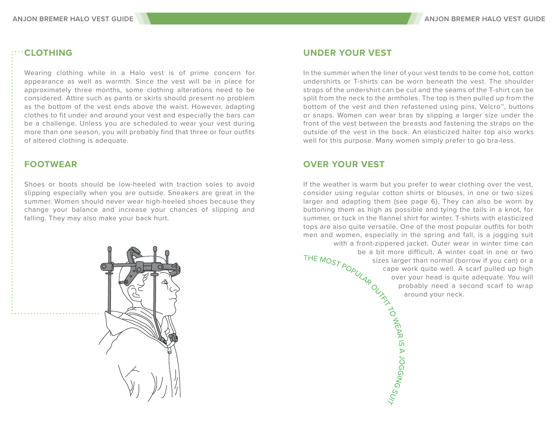# **CLOTHING**

Wearing clothing while in a Halo vest is of prime concern for appearance as well as warmth. Since the vest will be in place for approximately three months, some clothing alterations need to be considered. Attire such as pants or skirts should present no problem as the bottom of the vest ends above the waist. However, adapting clothes to fit under and around your vest and especially the bars can be a challenge. Unless you are scheduled to wear your vest during more than one season, you will probably find that three or four outfits of altered clothing is adequate.

### **FOOTWEAR**

Shoes or boots should be low-heeled with traction soles to avoid slipping especially when you are outside. Sneakers are great in the summer. Women should never wear high-heeled shoes because they change your balance and increase your chances of slipping and falling. They may also make your back hurt.



#### **UNDER YOUR VEST**

In the summer when the liner of your vest tends to be come hot, cotton undershirts or T-shirts can be worn beneath the vest. The shoulder straps of the undershirt can be cut and the seams of the T-shirt can be split from the neck to the armholes. The top is then pulled up from the bottom of the vest and then refastened using pins, Velcro™, buttons or snaps. Women can wear bras by slipping a larger size under the front of the vest between the breasts and fastening the straps on the outside of the vest in the back. An elasticized halter top also works well for this purpose. Many women simply prefer to go bra-less.

# **OVER YOUR VEST**

If the weather is warm but you prefer to wear clothing over the vest, consider using regular cotton shirts or blouses, in one or two sizes larger and adapting them (see page 6). They can also be worn by buttoning them as high as possible and tying the tails in a knot, for summer, or tuck in the flannel shirt for winter. T-shirts with elasticized tops are also quite versatile. One of the most popular outfits for both<br>
men and women, especially in the spring and fall, is a jogging suit<br>
with a front-zippered jacket. Outer wear in winter time can<br>
be a bit more diff men and women, especially in the spring and fall, is a jogging suit with a front-zippered jacket. Outer wear in winter time can be a bit more difficult. A winter coat in one or two sizes larger than normal (borrow if you can) or a cape work quite well. A scarf pulled up high over your head is quite adequate. You will probably need a second scarf to wrap

around your neck.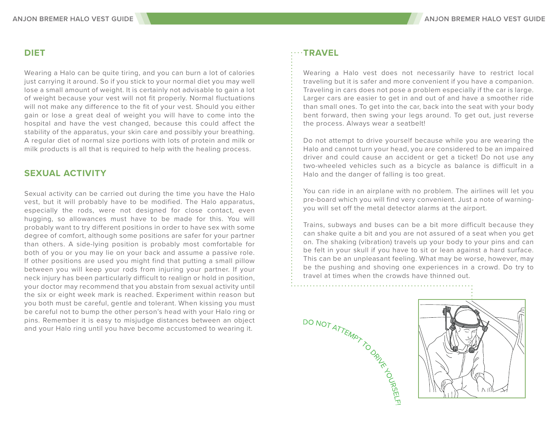# **DIET**

Wearing a Halo can be quite tiring, and you can burn a lot of calories just carrying it around. So if you stick to your normal diet you may well lose a small amount of weight. It is certainly not advisable to gain a lot of weight because your vest will not fit properly. Normal fluctuations will not make any difference to the fit of your vest. Should you either gain or lose a great deal of weight you will have to come into the hospital and have the vest changed, because this could affect the stability of the apparatus, your skin care and possibly your breathing. A regular diet of normal size portions with lots of protein and milk or milk products is all that is required to help with the healing process.

# **SEXUAL ACTIVITY**

Sexual activity can be carried out during the time you have the Halo vest, but it will probably have to be modified. The Halo apparatus, especially the rods, were not designed for close contact, even hugging, so allowances must have to be made for this. You will probably want to try different positions in order to have sex with some degree of comfort, although some positions are safer for your partner than others. A side-lying position is probably most comfortable for both of you or you may lie on your back and assume a passive role. If other positions are used you might find that putting a small pillow between you will keep your rods from injuring your partner. If your neck injury has been particularly difficult to realign or hold in position, your doctor may recommend that you abstain from sexual activity until the six or eight week mark is reached. Experiment within reason but you both must be careful, gentle and tolerant. When kissing you must be careful not to bump the other person's head with your Halo ring or pins. Remember it is easy to misjudge distances between an object and your Halo ring until you have become accustomed to wearing it.

# **TRAVEL**

Wearing a Halo vest does not necessarily have to restrict local traveling but it is safer and more convenient if you have a companion. Traveling in cars does not pose a problem especially if the car is large. Larger cars are easier to get in and out of and have a smoother ride than small ones. To get into the car, back into the seat with your body bent forward, then swing your legs around. To get out, just reverse the process. Always wear a seatbelt!

Do not attempt to drive yourself because while you are wearing the Halo and cannot turn your head, you are considered to be an impaired driver and could cause an accident or get a ticket! Do not use any two-wheeled vehicles such as a bicycle as balance is difficult in a Halo and the danger of falling is too great.

You can ride in an airplane with no problem. The airlines will let you pre-board which you will find very convenient. Just a note of warningyou will set off the metal detector alarms at the airport.

Trains, subways and buses can be a bit more difficult because they can shake quite a bit and you are not assured of a seat when you get on. The shaking (vibration) travels up your body to your pins and can be felt in your skull if you have to sit or lean against a hard surface. This can be an unpleasant feeling. What may be worse, however, may be the pushing and shoving one experiences in a crowd. Do try to travel at times when the crowds have thinned out.

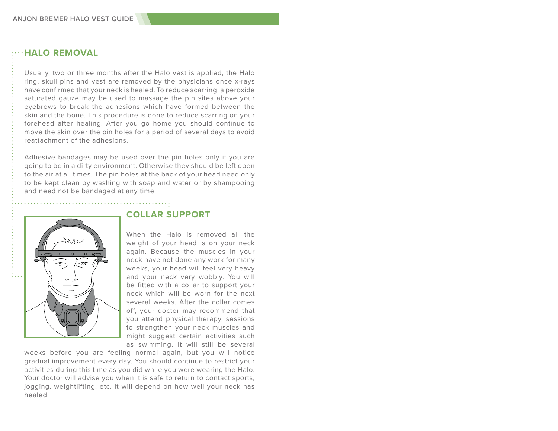## **HALO REMOVAL**

Usually, two or three months after the Halo vest is applied, the Halo ring, skull pins and vest are removed by the physicians once x-rays have confirmed that your neck is healed. To reduce scarring, a peroxide saturated gauze may be used to massage the pin sites above your eyebrows to break the adhesions which have formed between the skin and the bone. This procedure is done to reduce scarring on your forehead after healing. After you go home you should continue to move the skin over the pin holes for a period of several days to avoid reattachment of the adhesions.

Adhesive bandages may be used over the pin holes only if you are going to be in a dirty environment. Otherwise they should be left open to the air at all times. The pin holes at the back of your head need only to be kept clean by washing with soap and water or by shampooing and need not be bandaged at any time.



# **COLLAR SUPPORT**

When the Halo is removed all the weight of your head is on your neck again. Because the muscles in your neck have not done any work for many weeks, your head will feel very heavy and your neck very wobbly. You will be fitted with a collar to support your neck which will be worn for the next several weeks. After the collar comes off, your doctor may recommend that you attend physical therapy, sessions to strengthen your neck muscles and might suggest certain activities such as swimming. It will still be several

weeks before you are feeling normal again, but you will notice gradual improvement every day. You should continue to restrict your activities during this time as you did while you were wearing the Halo. Your doctor will advise you when it is safe to return to contact sports, jogging, weightlifting, etc. It will depend on how well your neck has healed.